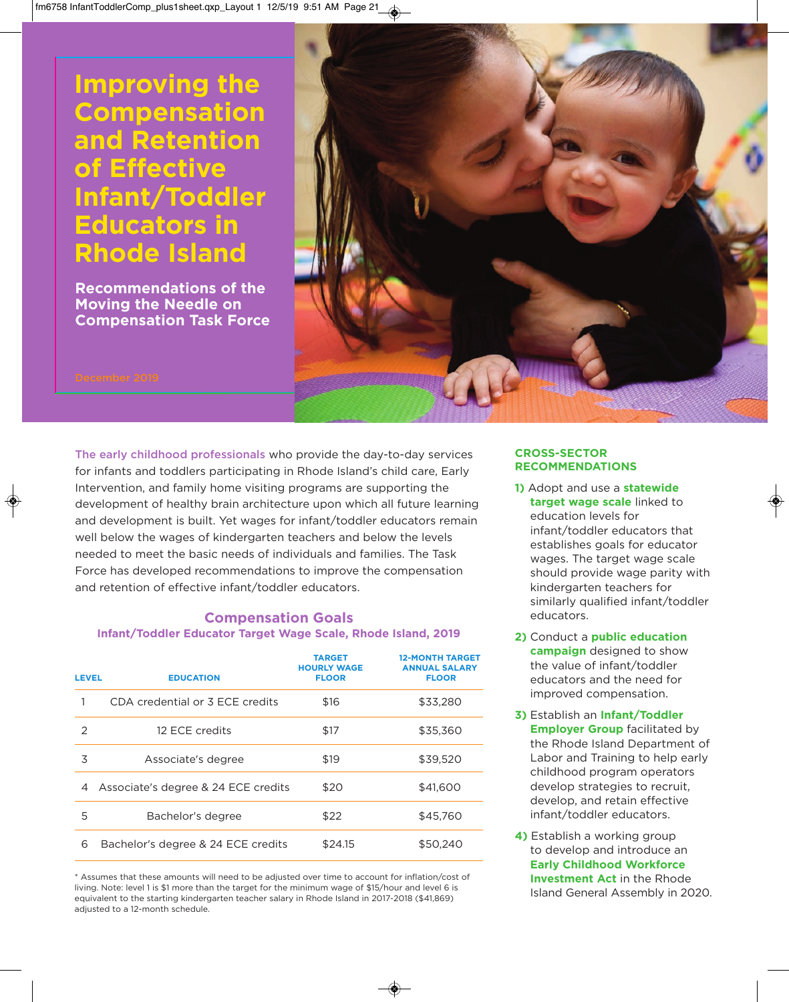**Improving the Compensation and Retention of Effective Infant/Toddler Educators in Rhode Island**

**Recommendations of the Moving the Needle on Compensation Task Force**



**The early childhood professionals** who provide the day-to-day services for infants and toddlers participating in Rhode Island's child care, Early Intervention, and family home visiting programs are supporting the development of healthy brain architecture upon which all future learning and development is built. Yet wages for infant/toddler educators remain well below the wages of kindergarten teachers and below the levels needed to meet the basic needs of individuals and families. The Task Force has developed recommendations to improve the compensation and retention of effective infant/toddler educators.

# **Compensation Goals**

### **Infant/Toddler Educator Target Wage Scale, Rhode Island, 2019**

| <b>LEVEL</b>  | <b>EDUCATION</b>                    | <b>TARGET</b><br><b>HOURLY WAGE</b><br><b>FLOOR</b> | <b>12-MONTH TARGET</b><br><b>ANNUAL SALARY</b><br><b>FLOOR</b> |
|---------------|-------------------------------------|-----------------------------------------------------|----------------------------------------------------------------|
|               | CDA credential or 3 FCF credits     | \$16                                                | \$33,280                                                       |
| $\mathcal{P}$ | 12 ECE credits                      | \$17                                                | \$35,360                                                       |
| 3             | Associate's degree                  | \$19                                                | \$39,520                                                       |
| 4             | Associate's degree & 24 ECE credits | \$20                                                | \$41,600                                                       |
| 5             | Bachelor's degree                   | \$22                                                | \$45,760                                                       |
| 6             | Bachelor's degree & 24 ECE credits  | \$24.15                                             | \$50,240                                                       |

\* Assumes that these amounts will need to be adjusted over time to account for inflation/cost of living. Note: level 1 is \$1 more than the target for the minimum wage of \$15/hour and level 6 is equivalent to the starting kindergarten teacher salary in Rhode Island in 2017-2018 (\$41,869) adjusted to a 12-month schedule.

## **CROSS-SECTOR RECOMMENDATIONS**

- **1)** Adopt and use a **statewide target wage scale** linked to education levels for infant/toddler educators that establishes goals for educator wages. The target wage scale should provide wage parity with kindergarten teachers for similarly qualified infant/toddler educators.
- **2)** Conduct a **public education campaign** designed to show the value of infant/toddler educators and the need for improved compensation.
- **3)** Establish an **Infant/Toddler Employer Group** facilitated by the Rhode Island Department of Labor and Training to help early childhood program operators develop strategies to recruit, develop, and retain effective infant/toddler educators.
- **4)** Establish a working group to develop and introduce an **Early Childhood Workforce Investment Act** in the Rhode Island General Assembly in 2020.